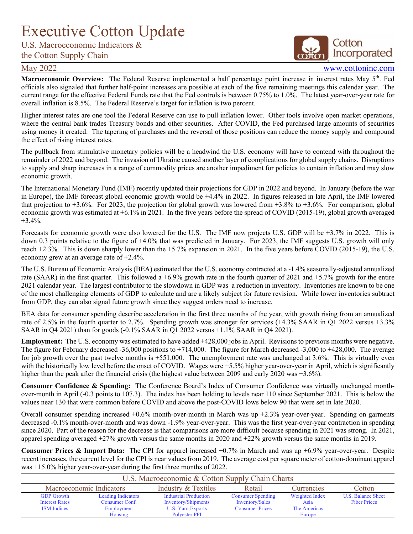## <span id="page-0-0"></span>Executive Cotton Update

U.S. Macroeconomic Indicators &

## the Cotton Supply Chain

## Cotton Incorporated

May 2022 www.cottoninc.com

Macroeconomic Overview: The Federal Reserve implemented a half percentage point increase in interest rates May 5<sup>th</sup>. Fed officials also signaled that further half-point increases are possible at each of the five remaining meetings this calendar year. The current range for the effective Federal Funds rate that the Fed controls is between 0.75% to 1.0%. The latest year-over-year rate for overall inflation is 8.5%. The Federal Reserve's target for inflation is two percent.

Higher interest rates are one tool the Federal Reserve can use to pull inflation lower. Other tools involve open market operations, where the central bank trades Treasury bonds and other securities. After COVID, the Fed purchased large amounts of securities using money it created. The tapering of purchases and the reversal of those positions can reduce the money supply and compound the effect of rising interest rates.

The pullback from stimulative monetary policies will be a headwind the U.S. economy will have to contend with throughout the remainder of 2022 and beyond. The invasion of Ukraine caused another layer of complications for global supply chains. Disruptions to supply and sharp increases in a range of commodity prices are another impediment for policies to contain inflation and may slow economic growth.

The International Monetary Fund (IMF) recently updated their projections for GDP in 2022 and beyond. In January (before the war in Europe), the IMF forecast global economic growth would be +4.4% in 2022. In figures released in late April, the IMF lowered that projection to  $+3.6\%$ . For 2023, the projection for global growth was lowered from  $+3.8\%$  to  $+3.6\%$ . For comparison, global economic growth was estimated at +6.1% in 2021. In the five years before the spread of COVID (2015-19), global growth averaged  $+3.4\%$ .

Forecasts for economic growth were also lowered for the U.S. The IMF now projects U.S. GDP will be +3.7% in 2022. This is down 0.3 points relative to the figure of +4.0% that was predicted in January. For 2023, the IMF suggests U.S. growth will only reach +2.3%. This is down sharply lower than the +5.7% expansion in 2021. In the five years before COVID (2015-19), the U.S. economy grew at an average rate of +2.4%.

The U.S. Bureau of Economic Analysis (BEA) estimated that the U.S. economy contracted at a -1.4% seasonally-adjusted annualized rate (SAAR) in the first quarter. This followed a +6.9% growth rate in the fourth quarter of 2021 and +5.7% growth for the entire 2021 calendar year. The largest contributor to the slowdown in GDP was a reduction in inventory. Inventories are known to be one of the most challenging elements of GDP to calculate and are a likely subject for future revision. While lower inventories subtract from GDP, they can also signal future growth since they suggest orders need to increase.

BEA data for consumer spending describe acceleration in the first three months of the year, with growth rising from an annualized rate of 2.5% in the fourth quarter to 2.7%. Spending growth was stronger for services (+4.3% SAAR in Q1 2022 versus +3.3% SAAR in Q4 2021) than for goods (-0.1% SAAR in Q1 2022 versus +1.1% SAAR in Q4 2021).

**Employment:** The U.S. economy was estimated to have added +428,000 jobs in April. Revisions to previous months were negative. The figure for February decreased -36,000 positions to +714,000. The figure for March decreased -3,000 to +428,000. The average for job growth over the past twelve months is +551,000. The unemployment rate was unchanged at 3.6%. This is virtually even with the historically low level before the onset of COVID. Wages were +5.5% higher year-over-year in April, which is significantly higher than the peak after the financial crisis (the highest value between 2009 and early 2020 was +3.6%).

**Consumer Confidence & Spending:** The Conference Board's Index of Consumer Confidence was virtually unchanged monthover-month in April (-0.3 points to 107.3). The index has been holding to levels near 110 since September 2021. This is below the values near 130 that were common before COVID and above the post-COVID lows below 90 that were set in late 2020.

Overall consumer spending increased  $+0.6\%$  month-over-month in March was up  $+2.3\%$  year-over-year. Spending on garments decreased -0.1% month-over-month and was down -1.9% year-over-year. This was the first year-over-year contraction in spending since 2020. Part of the reason for the decrease is that comparisons are more difficult because spending in 2021 was strong. In 2021, apparel spending averaged +27% growth versus the same months in 2020 and +22% growth versus the same months in 2019.

**Consumer Prices & Import Data:** The CPI for apparel increased +0.7% in March and was up +6.9% year-over-year. Despite recent increases, the current level for the CPI is near values from 2019. The average cost per square meter of cotton-dominant apparel was +15.0% higher year-over-year during the first three months of 2022.

|                       | U.S. Macroeconomic & Cotton Supply Chain Charts |                              |                          |                   |                     |  |  |  |  |  |
|-----------------------|-------------------------------------------------|------------------------------|--------------------------|-------------------|---------------------|--|--|--|--|--|
|                       | Macroeconomic Indicators                        | Industry & Textiles          | Retail                   | <b>Currencies</b> | Cotton              |  |  |  |  |  |
| <b>GDP</b> Growth     | <b>Leading Indicators</b>                       | <b>Industrial Production</b> | <b>Consumer Spending</b> | Weighted Index    | U.S. Balance Sheet  |  |  |  |  |  |
| <b>Interest Rates</b> | Consumer Conf.                                  | Inventory/Shipments          | Inventory/Sales          | Asia              | <b>Fiber Prices</b> |  |  |  |  |  |
| <b>ISM</b> Indices    | Employment                                      | U.S. Yarn Exports            | <b>Consumer Prices</b>   | The Americas      |                     |  |  |  |  |  |
|                       | Housing                                         | Polyester PPI                |                          | Europe            |                     |  |  |  |  |  |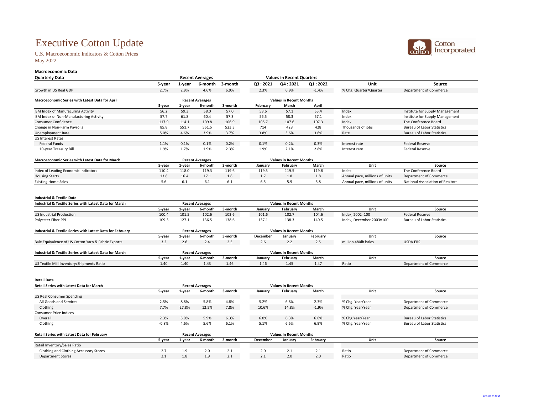# Executive Cotton Update

U.S. Macroeconomic Indicators & Cotton Prices May 2022

## **Macroeconomic Data Quarterly Data**

**Retail Data**

| <b>Retail Series with Latest Data for March</b>    |         | <b>Recent Averages</b> |                        |         |                 |                                | <b>Values in Recent Months</b> |                  |                                   |
|----------------------------------------------------|---------|------------------------|------------------------|---------|-----------------|--------------------------------|--------------------------------|------------------|-----------------------------------|
|                                                    | 5-year  | 1-year                 | 6-month                | 3-month | January         | February                       | <b>March</b>                   | <b>Unit</b>      | <b>Source</b>                     |
| <b>US Real Consumer Spending</b>                   |         |                        |                        |         |                 |                                |                                |                  |                                   |
| All Goods and Services                             | 2.5%    | 8.8%                   | 5.8%                   | 4.8%    | 5.2%            | 6.8%                           | 2.3%                           | % Chg. Year/Year | Department of Commerce            |
| Clothing                                           | 7.7%    | 27.8%                  | 12.5%                  | 7.8%    | 10.6%           | 14.8%                          | $-1.9%$                        | % Chg. Year/Year | Department of Commerce            |
| <b>Consumer Price Indices</b>                      |         |                        |                        |         |                 |                                |                                |                  |                                   |
| Overall                                            | 2.3%    | 5.0%                   | 5.9%                   | 6.3%    | 6.0%            | 6.3%                           | 6.6%                           | % Chg Year/Year  | <b>Bureau of Labor Statistics</b> |
| Clothing                                           | $-0.8%$ | 4.6%                   | 5.6%                   | 6.1%    | 5.1%            | 6.5%                           | 6.9%                           | % Chg. Year/Year | <b>Bureau of Labor Statistics</b> |
| <b>Retail Series with Latest Data for February</b> |         |                        | <b>Recent Averages</b> |         |                 | <b>Values in Recent Months</b> |                                |                  |                                   |
|                                                    | 5-year  | 1-year                 | 6-month                | 3-month | <b>December</b> | January                        | February                       | Unit             | <b>Source</b>                     |
| Retail Inventory/Sales Ratio                       |         |                        |                        |         |                 |                                |                                |                  |                                   |
| <b>Clothing and Clothing Accessory Stores</b>      | 2.7     | 1.9                    | 2.0                    | 2.1     | 2.0             | 2.1                            | 2.1                            | Ratio            | Department of Commerce            |
| <b>Department Stores</b>                           | 2.1     | 1.8                    | 1.9                    | 2.1     | 2.1             | 2.0                            | 2.0                            | Ratio            | Department of Commerce            |



| <b>Quarterly Data</b>                                                |                        |        | <b>Recent Averages</b> |         |                                | <b>Values in Recent Quarters</b> |                 |                                |                                         |  |
|----------------------------------------------------------------------|------------------------|--------|------------------------|---------|--------------------------------|----------------------------------|-----------------|--------------------------------|-----------------------------------------|--|
|                                                                      | 5-year                 | 1-year | 6-month                | 3-month | Q3:2021                        | Q4:2021                          | Q1:2022         | <b>Unit</b>                    | <b>Source</b>                           |  |
| Growth in US Real GDP                                                | 2.7%                   | 2.9%   | 4.6%                   | 6.9%    | 2.3%                           | 6.9%                             | $-1.4%$         | % Chg. Quarter/Quarter         | <b>Department of Commerce</b>           |  |
| <b>Macroeconomic Series with Latest Data for April</b>               | <b>Recent Averages</b> |        |                        |         | <b>Values in Recent Months</b> |                                  |                 |                                |                                         |  |
|                                                                      | 5-year                 | 1-year | 6-month                | 3-month | <b>February</b>                | <b>March</b>                     | <b>April</b>    |                                |                                         |  |
| ISM Index of Manufacuring Activity                                   | 56.2                   | 59.3   | 58.0                   | 57.0    | 58.6                           | 57.1                             | 55.4            | Index                          | Institute for Supply Management         |  |
| ISM Index of Non-Manufacturing Activity                              | 57.7                   | 61.8   | 60.4                   | 57.3    | 56.5                           | 58.3                             | 57.1            | Index                          | Institute for Supply Management         |  |
| <b>Consumer Confidence</b>                                           | 117.9                  | 114.1  | 109.8                  | 106.9   | 105.7                          | 107.6                            | 107.3           | Index                          | The Conference Board                    |  |
| Change in Non-Farm Payrolls                                          | 85.8                   | 551.7  | 551.5                  | 523.3   | 714                            | 428                              | 428             | Thousands of jobs              | <b>Bureau of Labor Statistics</b>       |  |
| <b>Unemployment Rate</b>                                             | 5.0%                   | 4.6%   | 3.9%                   | 3.7%    | 3.8%                           | 3.6%                             | 3.6%            | Rate                           | <b>Bureau of Labor Statistics</b>       |  |
| <b>US Interest Rates</b>                                             |                        |        |                        |         |                                |                                  |                 |                                |                                         |  |
| <b>Federal Funds</b>                                                 | 1.1%                   | 0.1%   | 0.1%                   | 0.2%    | 0.1%                           | 0.2%                             | 0.3%            | Interest rate                  | <b>Federal Reserve</b>                  |  |
| 10-year Treasury Bill                                                | 1.9%                   | 1.7%   | 1.9%                   | 2.3%    | 1.9%                           | 2.1%<br>2.8%<br>Interest rate    |                 |                                | <b>Federal Reserve</b>                  |  |
| <b>Macroeconomic Series with Latest Data for March</b>               |                        |        | <b>Recent Averages</b> |         |                                | <b>Values in Recent Months</b>   |                 |                                |                                         |  |
|                                                                      | 5-year                 | 1-year | 6-month                | 3-month | January                        | <b>February</b>                  | <b>March</b>    | <b>Unit</b>                    | <b>Source</b>                           |  |
| <b>Index of Leading Economic Indicators</b>                          | 110.4                  | 118.0  | 119.3                  | 119.6   | 119.5                          | 119.5                            | 119.8           | Index                          | The Conference Board                    |  |
| <b>Housing Starts</b>                                                | 13.8                   | 16.4   | 17.1                   | 1.8     | 1.7                            | 1.8                              | 1.8             | Annual pace, millions of units | <b>Department of Commerce</b>           |  |
| <b>Existing Home Sales</b>                                           | 5.6                    | 6.1    | 6.1                    | 6.1     | 6.5                            | 5.9                              | 5.8             | Annual pace, millions of units | <b>National Association of Realtors</b> |  |
|                                                                      |                        |        |                        |         |                                |                                  |                 |                                |                                         |  |
| <b>Industrial &amp; Textile Data</b>                                 |                        |        |                        |         |                                |                                  |                 |                                |                                         |  |
| <b>Industrial &amp; Textile Series with Latest Data for March</b>    |                        |        | <b>Recent Averages</b> |         |                                | <b>Values in Recent Months</b>   |                 |                                |                                         |  |
|                                                                      | 5-year                 | 1-year | 6-month                | 3-month | January                        | <b>February</b>                  | <b>March</b>    | Unit                           | <b>Source</b>                           |  |
| <b>US Industrial Production</b>                                      | 100.4                  | 101.5  | 102.6                  | 103.6   | 101.6                          | 102.7                            | 104.6           | Index, 2002=100                | <b>Federal Reserve</b>                  |  |
| Polyester Fiber PPI                                                  | 109.3                  | 127.1  | 136.5                  | 138.6   | 137.1                          | 138.3                            | 140.5           | Index, December 2003=100       | <b>Bureau of Labor Statistics</b>       |  |
| <b>Industrial &amp; Textile Series with Latest Data for February</b> | <b>Recent Averages</b> |        |                        |         | <b>Values in Recent Months</b> |                                  |                 |                                |                                         |  |
|                                                                      | 5-year                 | 1-year | 6-month                | 3-month | <b>December</b>                | <b>January</b>                   | <b>February</b> | <b>Unit</b>                    | <b>Source</b>                           |  |
| Bale Equivalence of US Cotton Yarn & Fabric Exports                  | 3.2                    | 2.6    | 2.4                    | 2.5     | 2.6                            | 2.2                              | 2.5             | million 480lb bales            | <b>USDA ERS</b>                         |  |
| <b>Industrial &amp; Textile Series with Latest Data for March</b>    | <b>Recent Averages</b> |        |                        |         | <b>Values in Recent Months</b> |                                  |                 |                                |                                         |  |
|                                                                      | 5-year                 | 1-year | 6-month                | 3-month | January                        | <b>February</b>                  | <b>March</b>    | <b>Unit</b>                    | <b>Source</b>                           |  |
| US Textile Mill Inventory/Shipments Ratio                            | 1.40                   | 1.40   | 1.43                   | 1.46    | 1.46                           | 1.45                             | 1.47            | Ratio                          | Department of Commerce                  |  |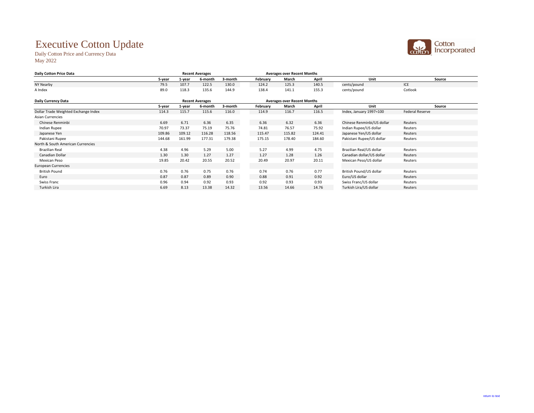## Executive Cotton Update

Daily Cotton Price and Currency Data May 2022

| <b>Daily Cotton Price Data</b>       |        | <b>Recent Averages</b> |                        |         | <b>Averages over Recent Months</b> |                                    |              |                            |                        |
|--------------------------------------|--------|------------------------|------------------------|---------|------------------------------------|------------------------------------|--------------|----------------------------|------------------------|
|                                      | 5-year | 1-year                 | 6-month                | 3-month | February                           | March                              | <b>April</b> | <b>Unit</b>                | <b>Source</b>          |
| <b>NY Nearby</b>                     | 79.5   | 107.7                  | 122.5                  | 130.0   | 124.2                              | 125.3                              | 140.5        | cents/pound                | ICE                    |
| A Index                              | 89.0   | 118.3                  | 135.6                  | 144.9   | 138.4                              | 141.1                              | 155.3        | cents/pound                | Cotlook                |
| <b>Daily Currency Data</b>           |        |                        | <b>Recent Averages</b> |         |                                    | <b>Averages over Recent Months</b> |              |                            |                        |
|                                      | 5-year | 1-year                 | 6-month                | 3-month | February                           | March                              | <b>April</b> | <b>Unit</b>                | <b>Source</b>          |
| Dollar Trade Weighted Exchange Index | 114.3  | 115.7                  | 115.6                  | 116.0   | 114.9                              | 116.7                              | 116.5        | Index, January 1997=100    | <b>Federal Reserve</b> |
| <b>Asian Currencies</b>              |        |                        |                        |         |                                    |                                    |              |                            |                        |
| Chinese Renminbi                     | 6.69   | 6.71                   | 6.36                   | 6.35    | 6.36                               | 6.32                               | 6.36         | Chinese Renminbi/US dollar | Reuters                |
| Indian Rupee                         | 70.97  | 73.37                  | 75.19                  | 75.76   | 74.81                              | 76.57                              | 75.92        | Indian Rupee/US dollar     | Reuters                |
| Japanese Yen                         | 109.86 | 109.12                 | 116.28                 | 118.56  | 115.47                             | 115.82                             | 124.41       | Japanese Yen/US dollar     | Reuters                |
| Pakistani Rupee                      | 144.68 | 161.99                 | 177.31                 | 179.38  | 175.15                             | 178.40                             | 184.60       | Pakistani Rupee/US dollar  | Reuters                |
| North & South American Currencies    |        |                        |                        |         |                                    |                                    |              |                            |                        |
| <b>Brazilian Real</b>                | 4.38   | 4.96                   | 5.29                   | 5.00    | 5.27                               | 4.99                               | 4.75         | Brazilian Real/US dollar   | Reuters                |
| Canadian Dollar                      | 1.30   | 1.30                   | 1.27                   | 1.27    | 1.27                               | 1.28                               | 1.26         | Canadian dollar/US dollar  | Reuters                |
| <b>Mexican Peso</b>                  | 19.85  | 20.42                  | 20.55                  | 20.52   | 20.49                              | 20.97                              | 20.11        | Mexican Peso/US dollar     | Reuters                |
| <b>European Currencies</b>           |        |                        |                        |         |                                    |                                    |              |                            |                        |
| <b>British Pound</b>                 | 0.76   | 0.76                   | 0.75                   | 0.76    | 0.74                               | 0.76                               | 0.77         | British Pound/US dollar    | Reuters                |
| Euro                                 | 0.87   | 0.87                   | 0.89                   | 0.90    | 0.88                               | 0.91                               | 0.92         | Euro/US dollar             | Reuters                |
| <b>Swiss Franc</b>                   | 0.96   | 0.94                   | 0.92                   | 0.93    | 0.92                               | 0.93                               | 0.93         | Swiss Franc/US dollar      | Reuters                |
| Turkish Lira                         | 6.69   | 8.13                   | 13.38                  | 14.32   | 13.56                              | 14.66                              | 14.76        | Turkish Lira/US dollar     | Reuters                |
|                                      |        |                        |                        |         |                                    |                                    |              |                            |                        |

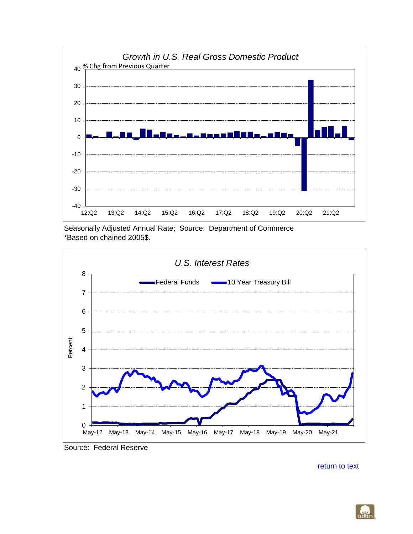<span id="page-3-0"></span>

Seasonally Adjusted Annual Rate; Source: Department of Commerce \*Based on chained 2005\$.



Source: Federal Reserve

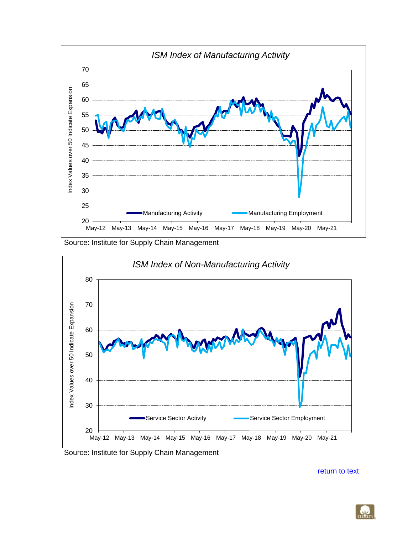<span id="page-4-0"></span>

Source: Institute for Supply Chain Management



Source: Institute for Supply Chain Management

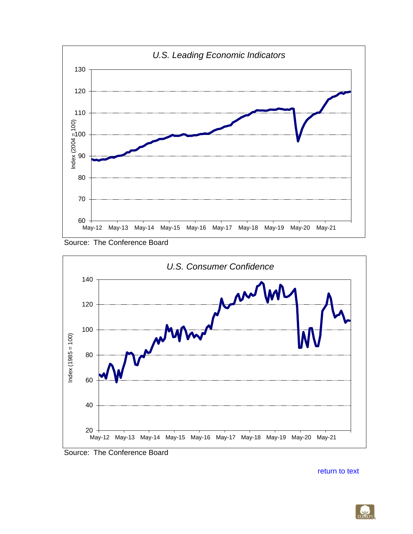<span id="page-5-0"></span>





Source: The Conference Board

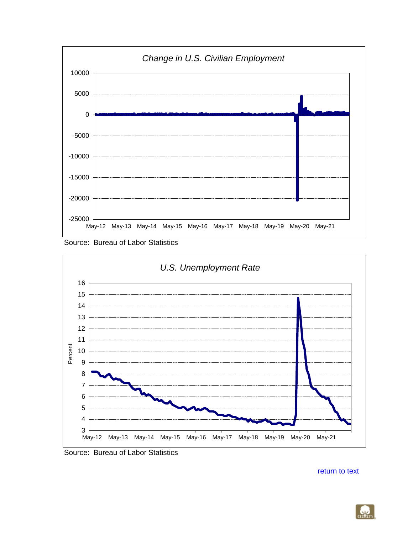<span id="page-6-0"></span>

Source: Bureau of Labor Statistics



Source: Bureau of Labor Statistics

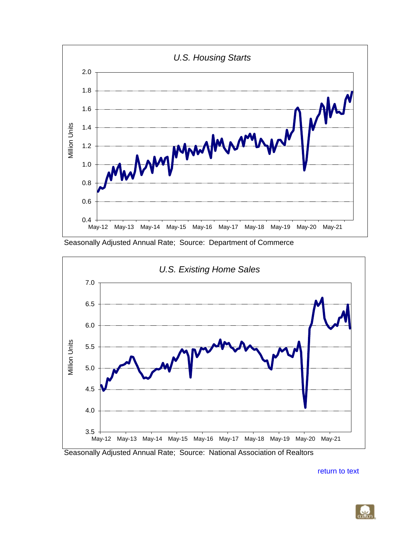<span id="page-7-0"></span>

Seasonally Adjusted Annual Rate; Source: Department of Commerce



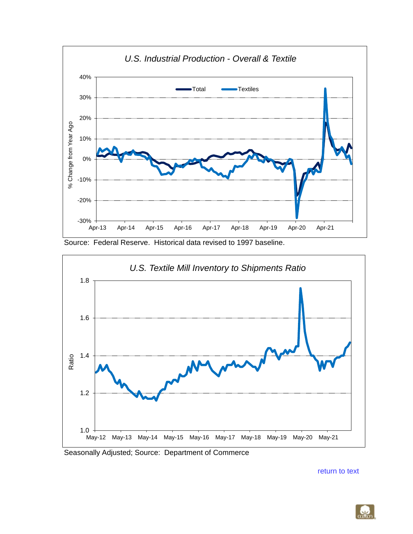<span id="page-8-0"></span>

Source: Federal Reserve. Historical data revised to 1997 baseline.



Seasonally Adjusted; Source: Department of Commerce

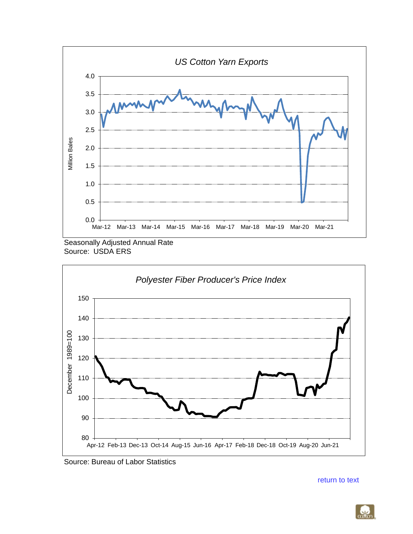<span id="page-9-0"></span>





Source: Bureau of Labor Statistics

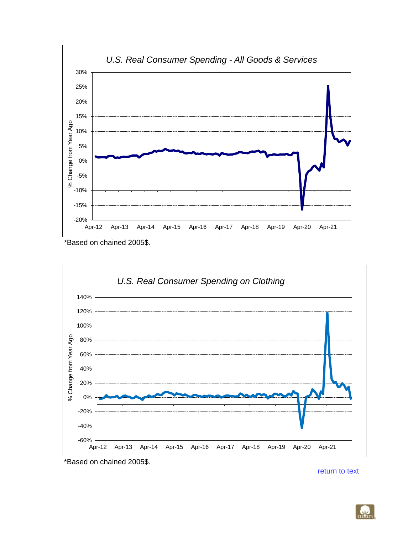<span id="page-10-0"></span>

<sup>\*</sup>Based on chained 2005\$.



\*Based on chained 2005\$.

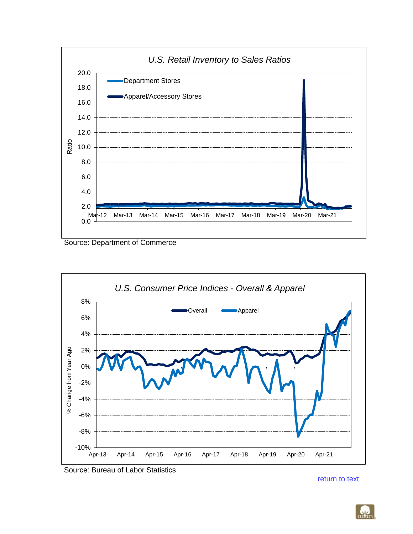<span id="page-11-0"></span>

Source: Department of Commerce



Source: Bureau of Labor Statistics

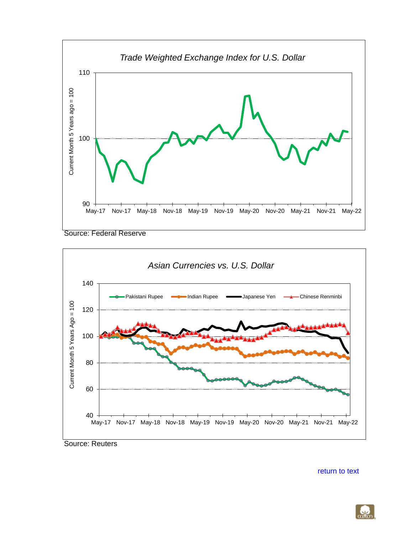<span id="page-12-0"></span>

Source: Federal Reserve



Source: Reuters

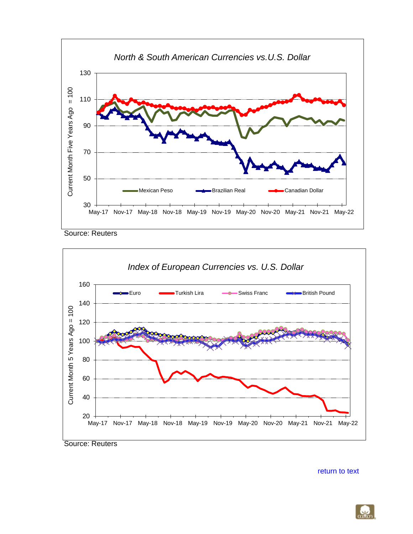<span id="page-13-0"></span>

Source: Reuters